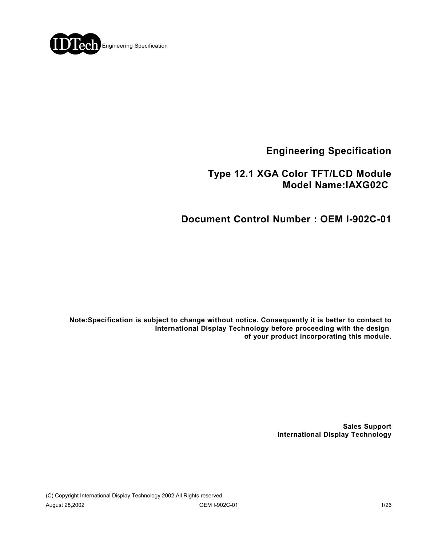

**Engineering Specification**

## **Type 12.1 XGA Color TFT/LCD Module Model Name:IAXG02C**

**Document Control Number : OEM I-902C-01**

**Note:Specification is subject to change without notice. Consequently it is better to contact to International Display Technology before proceeding with the design of your product incorporating this module.**

> **Sales Support International Display Technology**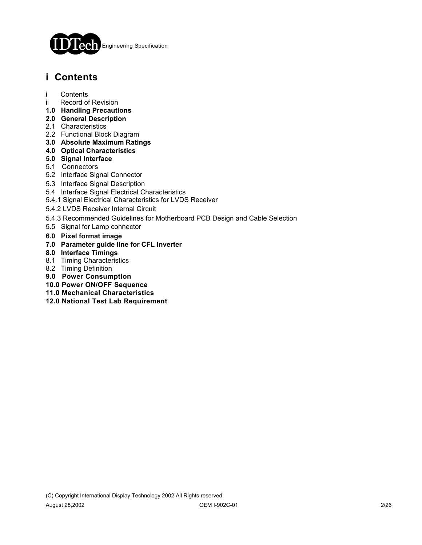

# **i Contents**

- i Contents
- ii Record of Revision
- **1.0 Handling Precautions**
- **2.0 General Description**
- 2.1 Characteristics
- 2.2 Functional Block Diagram
- **3.0 Absolute Maximum Ratings**
- **4.0 Optical Characteristics**
- **5.0 Signal Interface**
- 5.1 Connectors
- 5.2 Interface Signal Connector
- 5.3 Interface Signal Description
- 5.4 Interface Signal Electrical Characteristics
- 5.4.1 Signal Electrical Characteristics for LVDS Receiver
- 5.4.2 LVDS Receiver Internal Circuit
- 5.4.3 Recommended Guidelines for Motherboard PCB Design and Cable Selection
- 5.5 Signal for Lamp connector
- **6.0 Pixel format image**
- **7.0 Parameter guide line for CFL Inverter**
- **8.0 Interface Timings**
- 8.1 Timing Characteristics
- 8.2 Timing Definition
- **9.0 Power Consumption**
- **10.0 Power ON/OFF Sequence**
- **11.0 Mechanical Characteristics**
- **12.0 National Test Lab Requirement**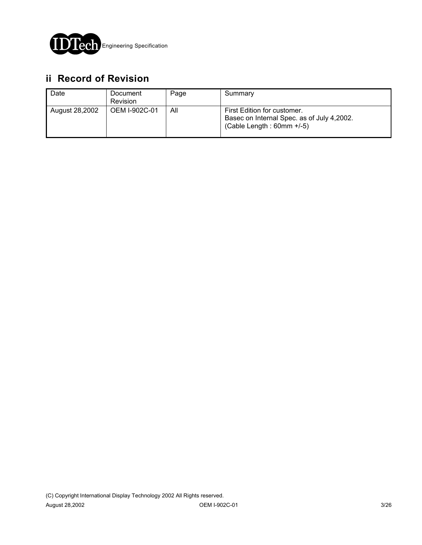

# **ii Record of Revision**

| Date           | Document<br><b>Revision</b> | Page | Summary                                                                                                   |
|----------------|-----------------------------|------|-----------------------------------------------------------------------------------------------------------|
| August 28,2002 | OEM I-902C-01               | All  | First Edition for customer.<br>Basec on Internal Spec. as of July 4,2002.<br>$(Cable Length : 60mm +/-5)$ |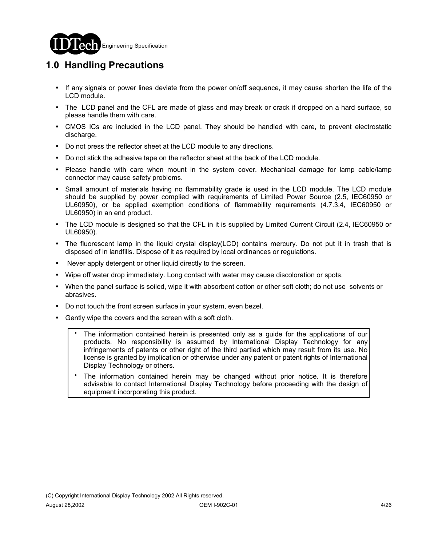

# **1.0 Handling Precautions**

- ! If any signals or power lines deviate from the power on/off sequence, it may cause shorten the life of the LCD module.
- ! The LCD panel and the CFL are made of glass and may break or crack if dropped on a hard surface, so please handle them with care.
- CMOS ICs are included in the LCD panel. They should be handled with care, to prevent electrostatic discharge.
- Do not press the reflector sheet at the LCD module to any directions.
- ! Do not stick the adhesive tape on the reflector sheet at the back of the LCD module.
- ! Please handle with care when mount in the system cover. Mechanical damage for lamp cable/lamp connector may cause safety problems.
- Small amount of materials having no flammability grade is used in the LCD module. The LCD module should be supplied by power complied with requirements of Limited Power Source (2.5, IEC60950 or UL60950), or be applied exemption conditions of flammability requirements (4.7.3.4, IEC60950 or UL60950) in an end product.
- ! The LCD module is designed so that the CFL in it is supplied by Limited Current Circuit (2.4, IEC60950 or UL60950).
- ! The fluorescent lamp in the liquid crystal display(LCD) contains mercury. Do not put it in trash that is disposed of in landfills. Dispose of it as required by local ordinances or regulations.
- Never apply detergent or other liquid directly to the screen.
- ! Wipe off water drop immediately. Long contact with water may cause discoloration or spots.
- ! When the panel surface is soiled, wipe it with absorbent cotton or other soft cloth; do not use solvents or abrasives.
- ! Do not touch the front screen surface in your system, even bezel.
- Gently wipe the covers and the screen with a soft cloth.
	- The information contained herein is presented only as a guide for the applications of our products. No responsibility is assumed by International Display Technology for any infringements of patents or other right of the third partied which may result from its use. No license is granted by implication or otherwise under any patent or patent rights of International Display Technology or others. .
	- The information contained herein may be changed without prior notice. It is therefore advisable to contact International Display Technology before proceeding with the design of equipment incorporating this product. .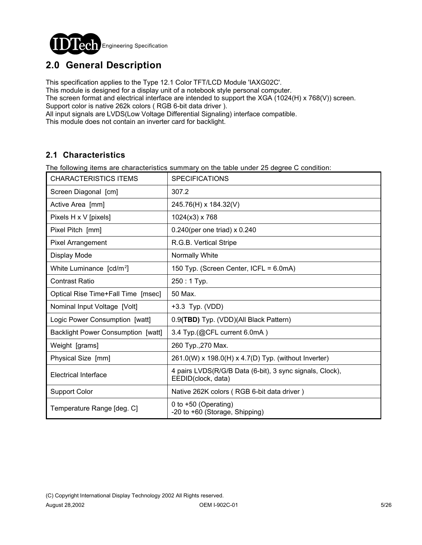

# **2.0 General Description**

This specification applies to the Type 12.1 Color TFT/LCD Module 'IAXG02C'.

This module is designed for a display unit of a notebook style personal computer.

The screen format and electrical interface are intended to support the XGA (1024(H) x 768(V)) screen. Support color is native 262k colors ( RGB 6-bit data driver ).

All input signals are LVDS(Low Voltage Differential Signaling) interface compatible.

This module does not contain an inverter card for backlight.

## **2.1 Characteristics**

The following items are characteristics summary on the table under 25 degree C condition:

| <b>CHARACTERISTICS ITEMS</b>              | <b>SPECIFICATIONS</b>                                                          |
|-------------------------------------------|--------------------------------------------------------------------------------|
| Screen Diagonal [cm]                      | 307.2                                                                          |
| Active Area [mm]                          | 245.76(H) x 184.32(V)                                                          |
| Pixels H x V [pixels]                     | 1024(x3) x 768                                                                 |
| Pixel Pitch [mm]                          | $0.240$ (per one triad) x $0.240$                                              |
| Pixel Arrangement                         | R.G.B. Vertical Stripe                                                         |
| Display Mode                              | Normally White                                                                 |
| White Luminance [cd/m <sup>2</sup> ]      | 150 Typ. (Screen Center, ICFL = 6.0mA)                                         |
| <b>Contrast Ratio</b>                     | $250:1$ Typ.                                                                   |
| Optical Rise Time+Fall Time [msec]        | 50 Max.                                                                        |
| Nominal Input Voltage [Volt]              | +3.3 Typ. (VDD)                                                                |
| Logic Power Consumption [watt]            | 0.9(TBD) Typ. (VDD)(All Black Pattern)                                         |
| <b>Backlight Power Consumption [watt]</b> | 3.4 Typ.(@CFL current 6.0mA)                                                   |
| Weight [grams]                            | 260 Typ., 270 Max.                                                             |
| Physical Size [mm]                        | 261.0(W) x 198.0(H) x 4.7(D) Typ. (without Inverter)                           |
| <b>Electrical Interface</b>               | 4 pairs LVDS(R/G/B Data (6-bit), 3 sync signals, Clock),<br>EEDID(clock, data) |
| <b>Support Color</b>                      | Native 262K colors (RGB 6-bit data driver)                                     |
| Temperature Range [deg. C]                | 0 to +50 (Operating)<br>-20 to +60 (Storage, Shipping)                         |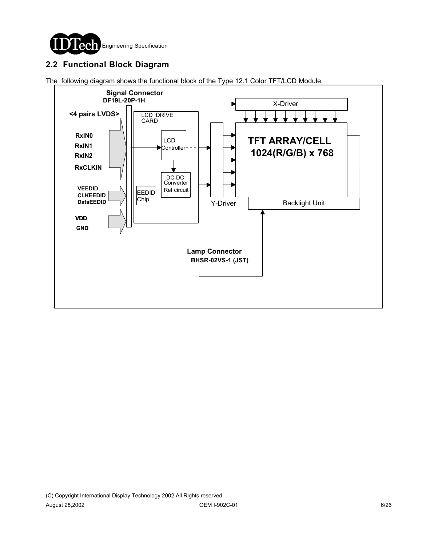

## **2.2 Functional Block Diagram**

The following diagram shows the functional block of the Type 12.1 Color TFT/LCD Module.

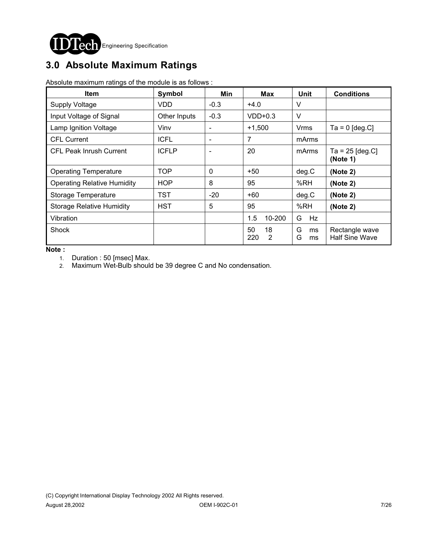

# **3.0 Absolute Maximum Ratings**

Absolute maximum ratings of the module is as follows :

| <b>Item</b>                        | Symbol       | Min          | <b>Max</b>           |                    | <b>Conditions</b>                       |
|------------------------------------|--------------|--------------|----------------------|--------------------|-----------------------------------------|
| <b>Supply Voltage</b>              | VDD          | $-0.3$       | $+4.0$               | V                  |                                         |
| Input Voltage of Signal            | Other Inputs | $-0.3$       | $VDD+0.3$            | V                  |                                         |
| Lamp Ignition Voltage              | Vinv         |              | $+1,500$             | Vrms               | $Ta = 0$ [deg.C]                        |
| <b>CFL Current</b>                 | <b>ICFL</b>  | ۰            | 7                    | mArms              |                                         |
| <b>CFL Peak Inrush Current</b>     | <b>ICFLP</b> |              | 20<br>mArms          |                    | $Ta = 25$ [deg.C]<br>(Note 1)           |
| <b>Operating Temperature</b>       | TOP          | $\mathbf{0}$ | $+50$                | deg.C              | (Note 2)                                |
| <b>Operating Relative Humidity</b> | <b>HOP</b>   | 8            | 95                   | %RH<br>(Note 2)    |                                         |
| Storage Temperature                | <b>TST</b>   | $-20$        | $+60$                | deg.C              | (Note 2)                                |
| <b>Storage Relative Humidity</b>   | <b>HST</b>   | 5            | 95                   | %RH                | (Note 2)                                |
| Vibration                          |              |              | 10-200<br>1.5        | Hz<br>G            |                                         |
| Shock                              |              |              | 18<br>50<br>220<br>2 | G<br>ms<br>G<br>ms | Rectangle wave<br><b>Half Sine Wave</b> |

**Note :** 

1. Duration : 50 [msec] Max.

2. Maximum Wet-Bulb should be 39 degree C and No condensation.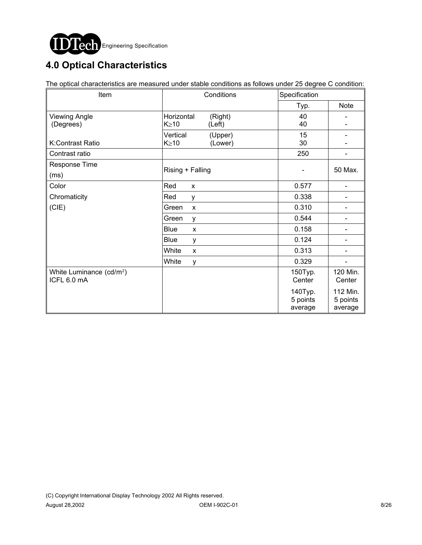

# **4.0 Optical Characteristics**

The optical characteristics are measured under stable conditions as follows under 25 degree C condition:

| Item                                 | Conditions             | Specification |             |  |
|--------------------------------------|------------------------|---------------|-------------|--|
|                                      |                        | Typ.          | <b>Note</b> |  |
| <b>Viewing Angle</b>                 | Horizontal<br>(Right)  | 40            |             |  |
| (Degrees)                            | $K \geq 10$<br>(Left)  | 40            |             |  |
|                                      | Vertical<br>(Upper)    | 15            |             |  |
| K:Contrast Ratio                     | $K \geq 10$<br>(Lower) | 30            |             |  |
| Contrast ratio                       |                        | 250           |             |  |
| Response Time                        | Rising + Falling       |               | 50 Max.     |  |
| (ms)                                 |                        |               |             |  |
| Color                                | Red<br>X               | 0.577         |             |  |
| Chromaticity                         | Red<br>у               | 0.338         |             |  |
| (CIE)                                | Green<br>$\mathsf{x}$  | 0.310         |             |  |
|                                      | Green<br>y             | 0.544         |             |  |
|                                      | <b>Blue</b><br>X       | 0.158         |             |  |
|                                      | Blue<br>у              | 0.124         | -           |  |
|                                      | White<br>X             | 0.313         |             |  |
|                                      | White<br>y             | 0.329         |             |  |
| White Luminance (cd/m <sup>2</sup> ) |                        | 150Typ.       | 120 Min.    |  |
| ICFL 6.0 mA                          |                        | Center        | Center      |  |
|                                      |                        | 140Typ.       | 112 Min.    |  |
|                                      |                        | 5 points      | 5 points    |  |
|                                      |                        | average       | average     |  |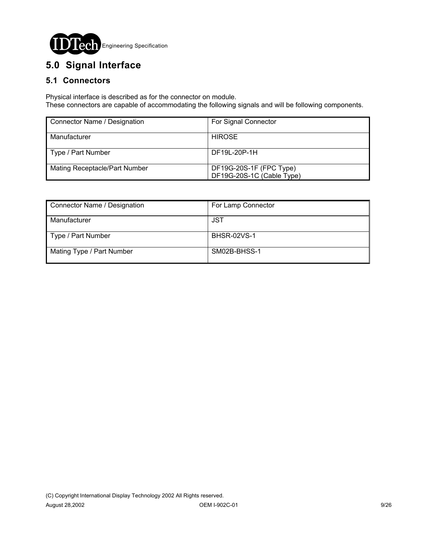

# **5.0 Signal Interface**

## **5.1 Connectors**

Physical interface is described as for the connector on module. These connectors are capable of accommodating the following signals and will be following components.

| Connector Name / Designation         | For Signal Connector                                 |
|--------------------------------------|------------------------------------------------------|
| Manufacturer                         | <b>HIROSE</b>                                        |
| Type / Part Number                   | DF19L-20P-1H                                         |
| <b>Mating Receptacle/Part Number</b> | DF19G-20S-1F (FPC Type)<br>DF19G-20S-1C (Cable Type) |

| Connector Name / Designation | For Lamp Connector |  |  |
|------------------------------|--------------------|--|--|
| Manufacturer                 | <b>JST</b>         |  |  |
| Type / Part Number           | <b>BHSR-02VS-1</b> |  |  |
| Mating Type / Part Number    | SM02B-BHSS-1       |  |  |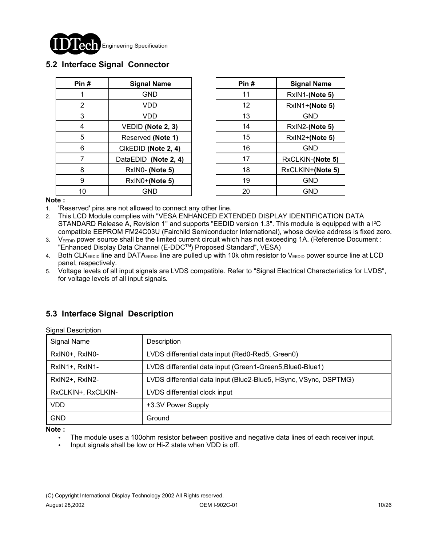

### **5.2 Interface Signal Connector**

| Pin# | <b>Signal Name</b>   |  | Pin# | <b>Signal Name</b> |
|------|----------------------|--|------|--------------------|
|      | <b>GND</b>           |  | 11   | RxIN1-(Note 5      |
| 2    | VDD                  |  | 12   | RxIN1+(Note 5      |
| 3    | VDD                  |  | 13   | <b>GND</b>         |
| 4    | VEDID (Note 2, 3)    |  | 14   | RxIN2-(Note 5      |
| 5    | Reserved (Note 1)    |  | 15   | RxIN2+(Note 5      |
| 6    | CIKEDID (Note 2, 4)  |  | 16   | <b>GND</b>         |
|      | DataEDID (Note 2, 4) |  | 17   | RxCLKIN-(Note      |
| 8    | RxIN0- (Note 5)      |  | 18   | RxCLKIN+(Note      |
| 9    | RxIN0+(Note 5)       |  | 19   | <b>GND</b>         |
| 10   | <b>GND</b>           |  | 20   | <b>GND</b>         |

| n # | <b>Signal Name</b>   | Pin# | <b>Signal Name</b> |
|-----|----------------------|------|--------------------|
| 1   | <b>GND</b>           | 11   | RxIN1-(Note 5)     |
| 2   | VDD                  | 12   | RxIN1+(Note 5)     |
| 3   | VDD                  | 13   | <b>GND</b>         |
| 4   | VEDID (Note 2, 3)    | 14   | RxIN2-(Note 5)     |
| 5   | Reserved (Note 1)    | 15   | RxIN2+(Note 5)     |
| 6   | CIKEDID (Note 2, 4)  | 16   | <b>GND</b>         |
| 7   | DataEDID (Note 2, 4) | 17   | RxCLKIN-(Note 5)   |
| 8   | RxIN0- (Note 5)      | 18   | RxCLKIN+(Note 5)   |
| 9   | RxIN0+(Note 5)       | 19   | <b>GND</b>         |
| 10  | GND                  | 20   | <b>GND</b>         |

**Note :**

**Note :**

1. 'Reserved' pins are not allowed to connect any other line.

2. This LCD Module complies with "VESA ENHANCED EXTENDED DISPLAY IDENTIFICATION DATA STANDARD Release A, Revision 1" and supports "EEDID version 1.3". This module is equipped with a  $l^2C$ compatible EEPROM FM24C03U (Fairchild Semiconductor International), whose device address is fixed zero.

3. V<sub>EEDID</sub> power source shall be the limited current circuit which has not exceeding 1A. (Reference Document : "Enhanced Display Data Channel (E-DDC™) Proposed Standard", VESA)

4. Both CLK<sub>EEDID</sub> line and DATA<sub>EEDID</sub> line are pulled up with 10k ohm resistor to V<sub>EEDID</sub> power source line at LCD panel, respectively.

5. Voltage levels of all input signals are LVDS compatible. Refer to "Signal Electrical Characteristics for LVDS", for voltage levels of all input signals.

## **5.3 Interface Signal Description**

| <b>Signal Description</b> |                                                                  |
|---------------------------|------------------------------------------------------------------|
| Signal Name               | Description                                                      |
| RxIN0+, RxIN0-            | LVDS differential data input (Red0-Red5, Green0)                 |
| RxIN1+, RxIN1-            | LVDS differential data input (Green1-Green5, Blue0-Blue1)        |
| RxIN2+, RxIN2-            | LVDS differential data input (Blue2-Blue5, HSync, VSync, DSPTMG) |
| RxCLKIN+, RxCLKIN-        | LVDS differential clock input                                    |
| <b>VDD</b>                | +3.3V Power Supply                                               |
| <b>GND</b>                | Ground                                                           |

! The module uses a 100ohm resistor between positive and negative data lines of each receiver input.

! Input signals shall be low or Hi-Z state when VDD is off.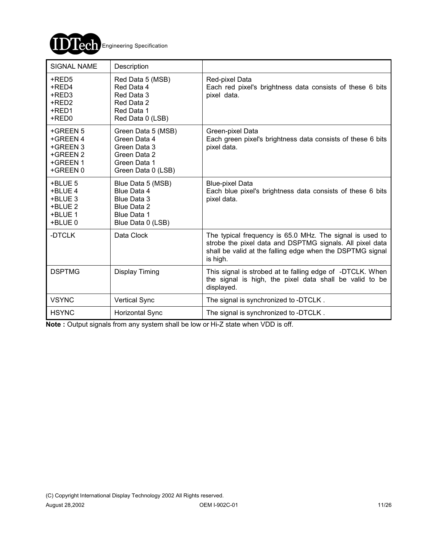

| <b>SIGNAL NAME</b>                                                   | Description                                                                                               |                                                                                                                                                                                               |
|----------------------------------------------------------------------|-----------------------------------------------------------------------------------------------------------|-----------------------------------------------------------------------------------------------------------------------------------------------------------------------------------------------|
| +RED5<br>+RED4<br>+RED3<br>+RED2<br>+RED1<br>+RED0                   | Red Data 5 (MSB)<br>Red Data 4<br>Red Data 3<br>Red Data 2<br>Red Data 1<br>Red Data 0 (LSB)              | Red-pixel Data<br>Each red pixel's brightness data consists of these 6 bits<br>pixel data.                                                                                                    |
| +GREEN 5<br>+GREEN 4<br>+GREEN 3<br>+GREEN 2<br>+GREEN 1<br>+GREEN 0 | Green Data 5 (MSB)<br>Green Data 4<br>Green Data 3<br>Green Data 2<br>Green Data 1<br>Green Data 0 (LSB)  | Green-pixel Data<br>Each green pixel's brightness data consists of these 6 bits<br>pixel data.                                                                                                |
| +BLUE 5<br>+BLUE 4<br>+BLUE 3<br>+BLUE 2<br>+BLUE 1<br>+BLUE 0       | Blue Data 5 (MSB)<br>Blue Data 4<br>Blue Data 3<br>Blue Data 2<br><b>Blue Data 1</b><br>Blue Data 0 (LSB) | <b>Blue-pixel Data</b><br>Each blue pixel's brightness data consists of these 6 bits<br>pixel data.                                                                                           |
| -DTCLK                                                               | Data Clock                                                                                                | The typical frequency is 65.0 MHz. The signal is used to<br>strobe the pixel data and DSPTMG signals. All pixel data<br>shall be valid at the falling edge when the DSPTMG signal<br>is high. |
| <b>DSPTMG</b>                                                        | Display Timing                                                                                            | This signal is strobed at te falling edge of -DTCLK. When<br>the signal is high, the pixel data shall be valid to be<br>displayed.                                                            |
| <b>VSYNC</b>                                                         | <b>Vertical Sync</b>                                                                                      | The signal is synchronized to -DTCLK.                                                                                                                                                         |
| <b>HSYNC</b>                                                         | <b>Horizontal Sync</b>                                                                                    | The signal is synchronized to -DTCLK.                                                                                                                                                         |

**Note :** Output signals from any system shall be low or Hi-Z state when VDD is off.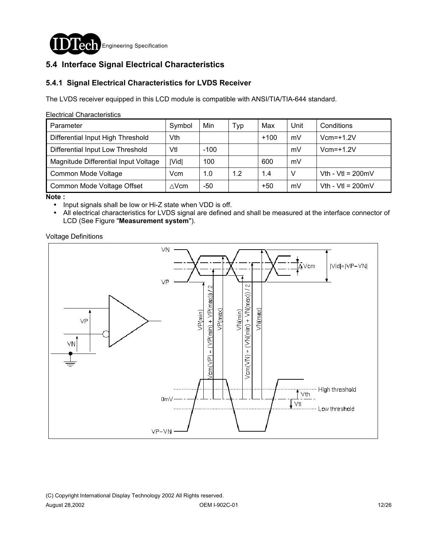

## **5.4 Interface Signal Electrical Characteristics**

### **5.4.1 Signal Electrical Characteristics for LVDS Receiver**

The LVDS receiver equipped in this LCD module is compatible with ANSI/TIA/TIA-644 standard.

#### Electrical Characteristics

| Parameter                            | Symbol           | Min    | Тур | Max    | Unit | Conditions                  |
|--------------------------------------|------------------|--------|-----|--------|------|-----------------------------|
| Differential Input High Threshold    | Vth              |        |     | $+100$ | mV   | $Vcm=+1.2V$                 |
| Differential Input Low Threshold     | Vtl              | $-100$ |     |        | mV   | $Vcm=+1.2V$                 |
| Magnitude Differential Input Voltage | Vid              | 100    |     | 600    | mV   |                             |
| Common Mode Voltage                  | Vcm              | 1.0    | 1.2 | 1.4    | v    | Vth - Vtl = $200 \text{mV}$ |
| Common Mode Voltage Offset           | $\triangle V$ cm | -50    |     | $+50$  | mV   | Vth - Vtl = $200 \text{mV}$ |

**Note :**

- ! Input signals shall be low or Hi-Z state when VDD is off.
- ! All electrical characteristics for LVDS signal are defined and shall be measured at the interface connector of LCD (See Figure "**Measurement system**").

Voltage Definitions

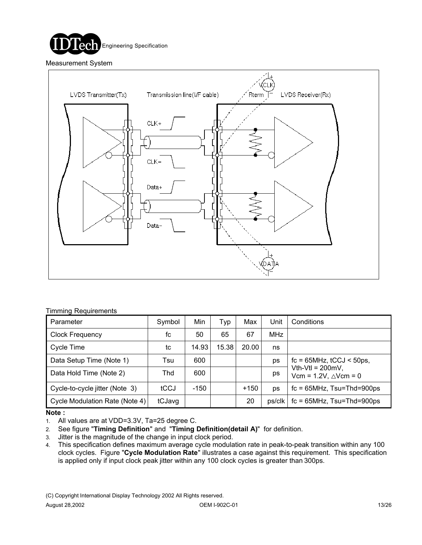



#### Timming Requirements

| Parameter                      | Symbol | Min    | Typ   | Max    | Unit   | Conditions                                                 |
|--------------------------------|--------|--------|-------|--------|--------|------------------------------------------------------------|
| <b>Clock Frequency</b>         | fc     | 50     | 65    | 67     | MHz    |                                                            |
| Cycle Time                     | tc     | 14.93  | 15.38 | 20.00  | ns     |                                                            |
| Data Setup Time (Note 1)       | Tsu    | 600    |       |        | ps     | $fc = 65 MHz$ , $tCCJ < 50 ps$ ,                           |
| Data Hold Time (Note 2)        | Thd    | 600    |       |        | ps     | Vth-Vtl = $200mV$ ,<br>Vcm = $1.2V$ , $\triangle V$ cm = 0 |
| Cycle-to-cycle jitter (Note 3) | tCCJ   | $-150$ |       | $+150$ | ps     | $fc = 65 MHz$ , $Tsu = Thd = 900 ps$                       |
| Cycle Modulation Rate (Note 4) | tCJavg |        |       | 20     | ps/clk | $fc = 65 MHz$ , $Tsu = Thd = 900 ps$                       |

#### **Note :**

- 1. All values are at VDD=3.3V, Ta=25 degree C.
- 2. See figure "**Timing Definition**" and "**Timing Definition(detail A)**" for definition.
- 3. Jitter is the magnitude of the change in input clock period.
- 4. This specification defines maximum average cycle modulation rate in peak-to-peak transition within any 100 clock cycles. Figure "**Cycle Modulation Rate**" illustrates a case against this requirement. This specification is applied only if input clock peak jitter within any 100 clock cycles is greater than 300ps.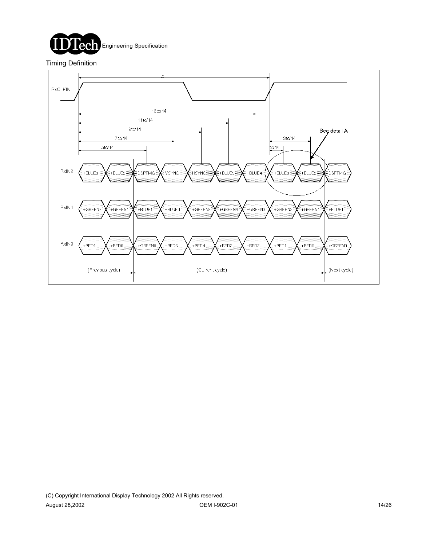

### Timing Definition

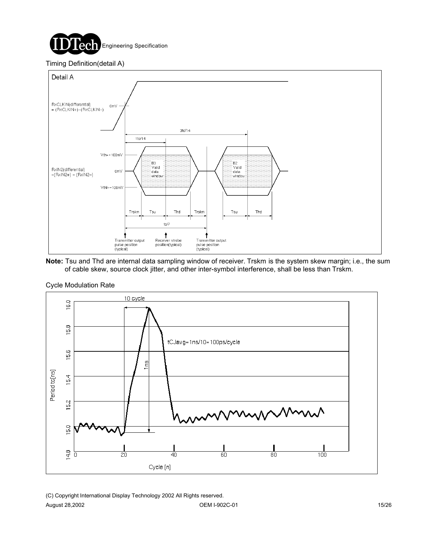

#### Timing Definition(detail A)



**Note:** Tsu and Thd are internal data sampling window of receiver. Trskm is the system skew margin; i.e., the sum of cable skew, source clock jitter, and other inter-symbol interference, shall be less than Trskm.



#### Cycle Modulation Rate

(C) Copyright International Display Technology 2002 All Rights reserved. August 28,2002 **OEM I-902C-01 OEM I-902C-01 15/26**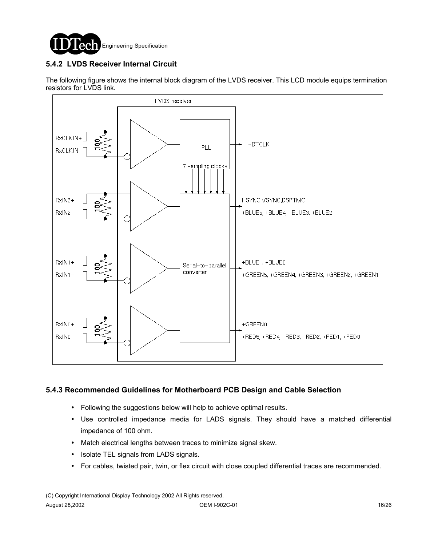

## **5.4.2 LVDS Receiver Internal Circuit**

The following figure shows the internal block diagram of the LVDS receiver. This LCD module equips termination resistors for LVDS link.



### **5.4.3 Recommended Guidelines for Motherboard PCB Design and Cable Selection**

- ! Following the suggestions below will help to achieve optimal results.
- ! Use controlled impedance media for LADS signals. They should have a matched differential impedance of 100 ohm.
- ! Match electrical lengths between traces to minimize signal skew.
- ! Isolate TEL signals from LADS signals.
- ! For cables, twisted pair, twin, or flex circuit with close coupled differential traces are recommended.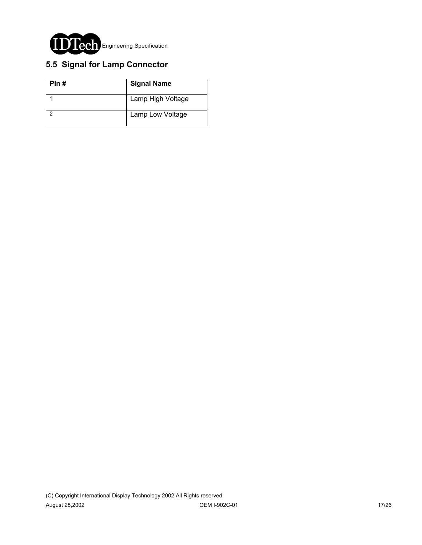

## **5.5 Signal for Lamp Connector**

| Pin# | <b>Signal Name</b> |
|------|--------------------|
|      | Lamp High Voltage  |
|      | Lamp Low Voltage   |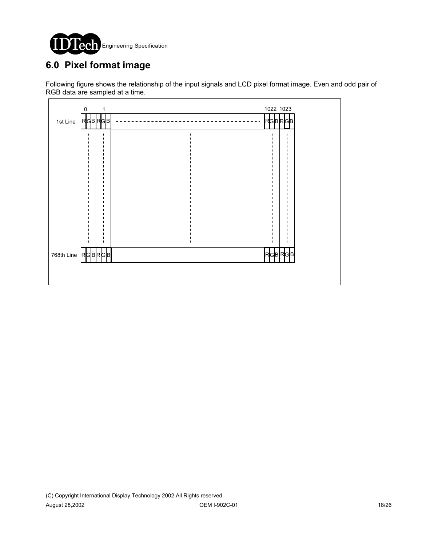

# **6.0 Pixel format image**

Following figure shows the relationship of the input signals and LCD pixel format image. Even and odd pair of RGB data are sampled at a time.

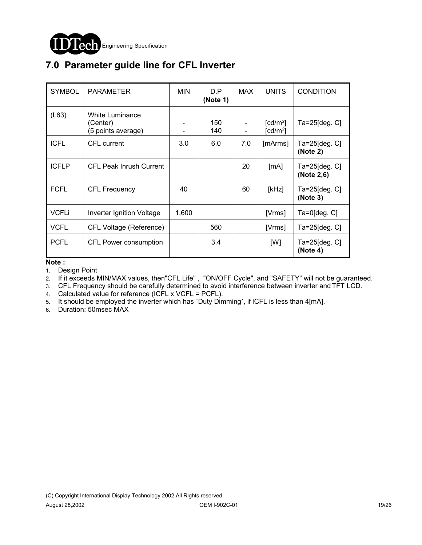

# **7.0 Parameter guide line for CFL Inverter**

| <b>SYMBOL</b> | <b>PARAMETER</b>                                  | <b>MIN</b> | D.P<br>(Note 1) | <b>MAX</b> | <b>UNITS</b>                          | <b>CONDITION</b>                    |
|---------------|---------------------------------------------------|------------|-----------------|------------|---------------------------------------|-------------------------------------|
| (L63)         | White Luminance<br>(Center)<br>(5 points average) |            | 150<br>140      |            | $\lceil cd/m^2 \rceil$<br>[ $cd/m2$ ] | Ta=25[deg. C]                       |
| <b>ICFL</b>   | CFL current                                       | 3.0        | 6.0             | 7.0        | [mArms]                               | $Ta = 25$ [deg. $C$ ]<br>(Note 2)   |
| <b>ICFLP</b>  | <b>CFL Peak Inrush Current</b>                    |            |                 | 20         | [mA]                                  | $Ta = 25$ [deg. $C$ ]<br>(Note 2,6) |
| <b>FCFL</b>   | <b>CFL Frequency</b>                              | 40         |                 | 60         | [kHz]                                 | $Ta = 25$ [deg. $C$ ]<br>(Note 3)   |
| <b>VCFLi</b>  | <b>Inverter Ignition Voltage</b>                  | 1,600      |                 |            | [Vrms]                                | $Ta=0$ [deg. $C$ ]                  |
| <b>VCFL</b>   | CFL Voltage (Reference)                           |            | 560             |            | [Vrms]                                | $Ta = 25$ [deg. $C$ ]               |
| <b>PCFL</b>   | CFL Power consumption                             |            | 3.4             |            | [W]                                   | $Ta = 25$ [deg. $C$ ]<br>(Note 4)   |

**Note :**

1. Design Point

2. If it exceeds MIN/MAX values, then"CFL Life" , "ON/OFF Cycle", and "SAFETY" will not be guaranteed.

3. CFL Frequency should be carefully determined to avoid interference between inverter and TFT LCD.

4. Calculated value for reference (ICFL x VCFL = PCFL).

5. It should be employed the inverter which has `Duty Dimming`, if ICFL is less than 4[mA].

6. Duration: 50msec MAX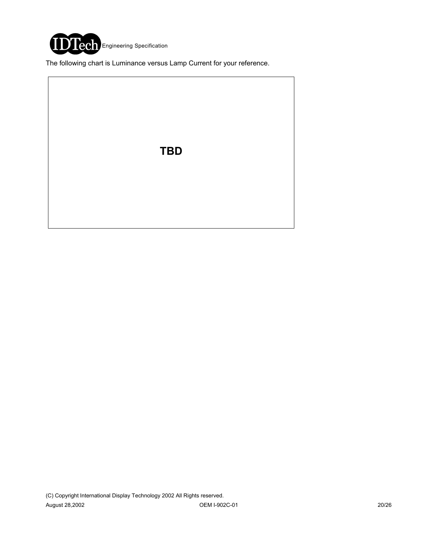

The following chart is Luminance versus Lamp Current for your reference.

**TBD**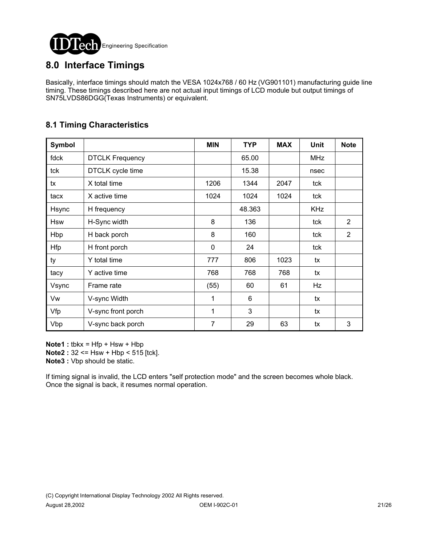

## **8.0 Interface Timings**

Basically, interface timings should match the VESA 1024x768 / 60 Hz (VG901101) manufacturing guide line timing. These timings described here are not actual input timings of LCD module but output timings of SN75LVDS86DGG(Texas Instruments) or equivalent.

## **8.1 Timing Characteristics**

| Symbol     |                        | <b>MIN</b>   | <b>TYP</b> | <b>MAX</b> | <b>Unit</b> | <b>Note</b> |
|------------|------------------------|--------------|------------|------------|-------------|-------------|
| fdck       | <b>DTCLK Frequency</b> |              | 65.00      |            | <b>MHz</b>  |             |
| tck        | DTCLK cycle time       |              | 15.38      |            | nsec        |             |
| tx         | X total time           | 1206         | 1344       | 2047       | tck         |             |
| tacx       | X active time          | 1024         | 1024       | 1024       | tck         |             |
| Hsync      | H frequency            |              | 48.363     |            | <b>KHz</b>  |             |
| <b>Hsw</b> | H-Sync width           | 8            | 136        |            | tck         | 2           |
| Hbp        | H back porch           | 8            | 160        |            | tck         | 2           |
| <b>Hfp</b> | H front porch          | 0            | 24         |            | tck         |             |
| ty         | Y total time           | 777          | 806        | 1023       | tx          |             |
| tacy       | Y active time          | 768          | 768        | 768        | tx          |             |
| Vsync      | Frame rate             | (55)         | 60         | 61         | Hz          |             |
| Vw         | V-sync Width           | $\mathbf{1}$ | 6          |            | tx          |             |
| Vfp        | V-sync front porch     | 1            | 3          |            | tx          |             |
| Vbp        | V-sync back porch      | 7            | 29         | 63         | tx          | 3           |

**Note1** : **tbkx** = Hfp + Hsw + Hbp **Note2** : 32 <= Hsw + Hbp < 515 [tck].

**Note3 :** Vbp should be static.

If timing signal is invalid, the LCD enters "self protection mode" and the screen becomes whole black. Once the signal is back, it resumes normal operation.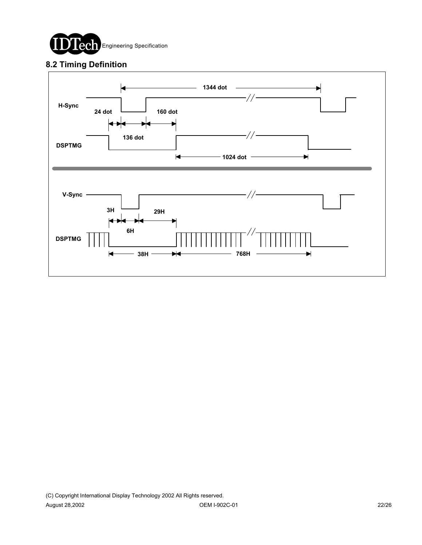

## **8.2 Timing Definition**

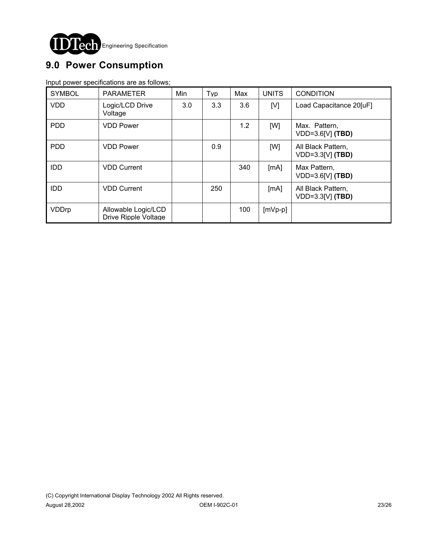

# **9.0 Power Consumption**

Input power specifications are as follows;

| <b>SYMBOL</b> | <b>PARAMETER</b>                            | Min | Typ | Max | <b>UNITS</b> | <b>CONDITION</b>                         |
|---------------|---------------------------------------------|-----|-----|-----|--------------|------------------------------------------|
| <b>VDD</b>    | Logic/LCD Drive<br>Voltage                  | 3.0 | 3.3 | 3.6 | [V]          | Load Capacitance 20[uF]                  |
| <b>PDD</b>    | <b>VDD Power</b>                            |     |     | 1.2 | [W]          | Max. Pattern,<br>$VDD=3.6[V]$ (TBD)      |
| <b>PDD</b>    | <b>VDD Power</b>                            |     | 0.9 |     | [W]          | All Black Pattern,<br>$VDD=3.3[V]$ (TBD) |
| <b>IDD</b>    | <b>VDD Current</b>                          |     |     | 340 | [mA]         | Max Pattern,<br>$VDD=3.6[V]$ (TBD)       |
| <b>IDD</b>    | <b>VDD Current</b>                          |     | 250 |     | [mA]         | All Black Pattern,<br>$VDD=3.3[V]$ (TBD) |
| VDDrp         | Allowable Logic/LCD<br>Drive Ripple Voltage |     |     | 100 | $[mVp-p]$    |                                          |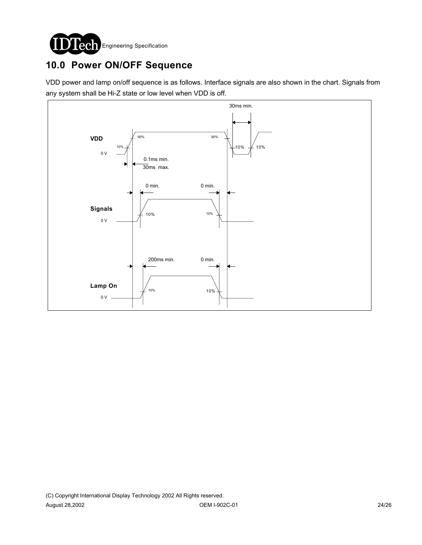

# **10.0 Power ON/OFF Sequence**

VDD power and lamp on/off sequence is as follows. Interface signals are also shown in the chart. Signals from any system shall be Hi-Z state or low level when VDD is off.

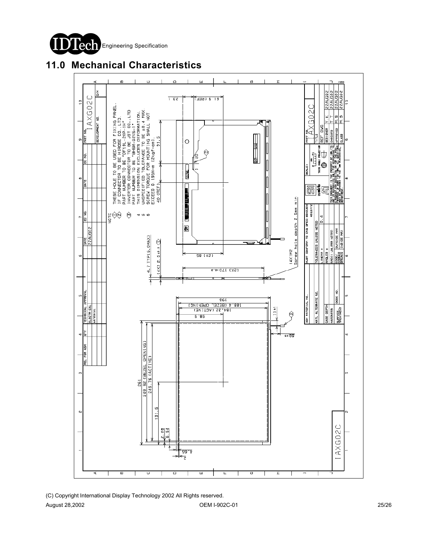